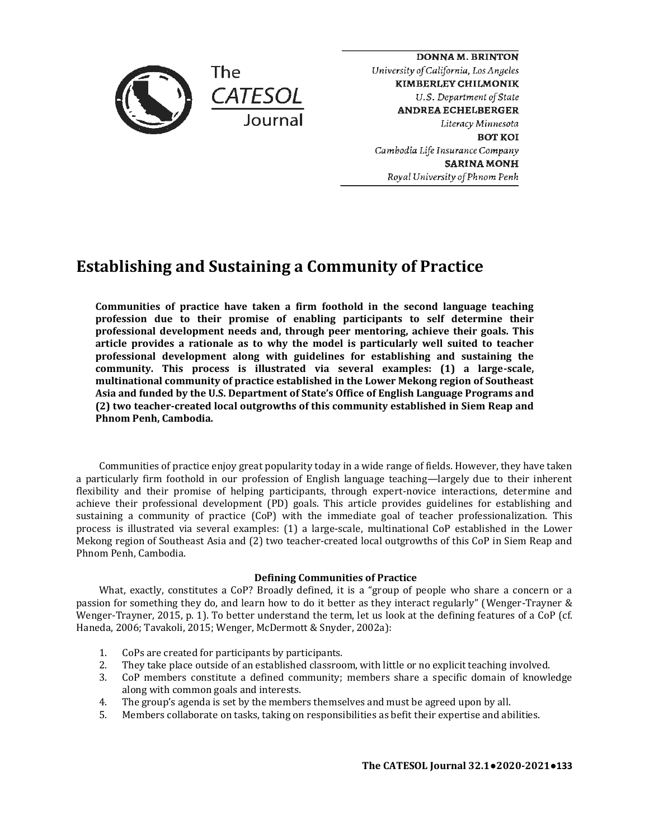

**DONNA M. BRINTON**  *University of California, Los Angeles*  **KIMBERLEY CHILMONIK**  *U.S. DepartmentofState*  **ANDREA ECHELBERGER**  *Literacy Minnesota*  **BOTKOI**  *Cambodia Life Insurance Company*  **SARINAMONH**  *Royal University of Phnom Penh* 

# **Establishing and Sustaining a Community of Practice**

**Communities of practice have taken a firm foothold in the second language teaching profession due to their promise of enabling participants to self determine their professional development needs and, through peer mentoring, achieve their goals. This article provides a rationale as to why the model is particularly well suited to teacher professional development along with guidelines for establishing and sustaining the community. This process is illustrated via several examples: (1) a large-scale, multinational community of practice established in the Lower Mekong region of Southeast Asia and funded by the U.S. Department of State's Office of English Language Programs and (2) two teacher-created local outgrowths of this community established in Siem Reap and Phnom Penh, Cambodia.**

Communities of practice enjoy great popularity today in a wide range of fields. However, they have taken a particularly firm foothold in our profession of English language teaching—largely due to their inherent flexibility and their promise of helping participants, through expert-novice interactions, determine and achieve their professional development (PD) goals. This article provides guidelines for establishing and sustaining a community of practice (CoP) with the immediate goal of teacher professionalization. This process is illustrated via several examples: (1) a large-scale, multinational CoP established in the Lower Mekong region of Southeast Asia and (2) two teacher-created local outgrowths of this CoP in Siem Reap and Phnom Penh, Cambodia.

# **Defining Communities of Practice**

What, exactly, constitutes a CoP? Broadly defined, it is a "group of people who share a concern or a passion for something they do, and learn how to do it better as they interact regularly" (Wenger-Trayner & Wenger-Trayner, 2015, p. 1). To better understand the term, let us look at the defining features of a CoP (cf. Haneda, 2006; Tavakoli, 2015; Wenger, McDermott & Snyder, 2002a):

- 1. CoPs are created for participants by participants.
- 2. They take place outside of an established classroom, with little or no explicit teaching involved.
- 3. CoP members constitute a defined community; members share a specific domain of knowledge along with common goals and interests.
- 4. The group's agenda is set by the members themselves and must be agreed upon by all.
- 5. Members collaborate on tasks, taking on responsibilities as befit their expertise and abilities.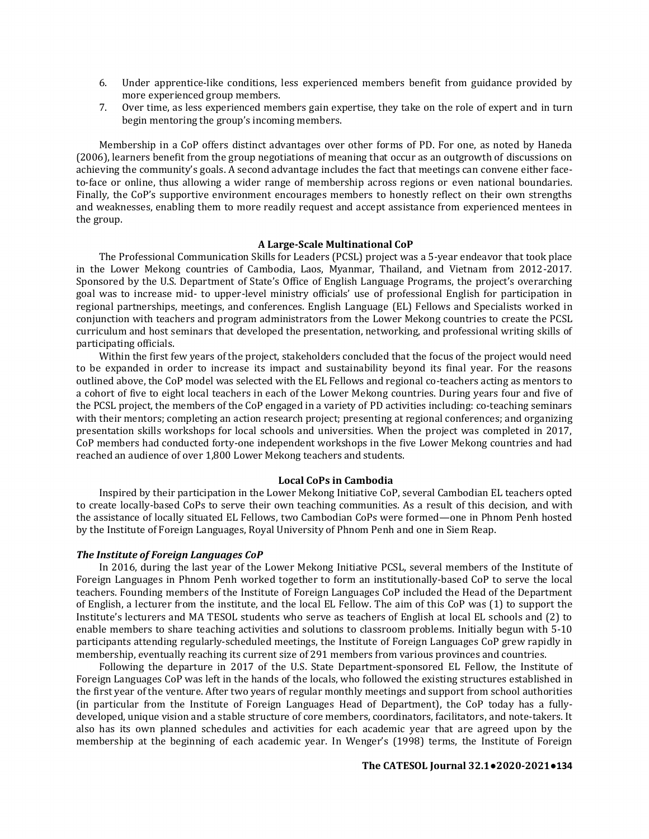- 6. Under apprentice-like conditions, less experienced members benefit from guidance provided by more experienced group members.
- 7. Over time, as less experienced members gain expertise, they take on the role of expert and in turn begin mentoring the group's incoming members.

Membership in a CoP offers distinct advantages over other forms of PD. For one, as noted by Haneda (2006), learners benefit from the group negotiations of meaning that occur as an outgrowth of discussions on achieving the community's goals. A second advantage includes the fact that meetings can convene either faceto-face or online, thus allowing a wider range of membership across regions or even national boundaries. Finally, the CoP's supportive environment encourages members to honestly reflect on their own strengths and weaknesses, enabling them to more readily request and accept assistance from experienced mentees in the group.

# **A Large-Scale Multinational CoP**

The Professional Communication Skills for Leaders (PCSL) project was a 5-year endeavor that took place in the Lower Mekong countries of Cambodia, Laos, Myanmar, Thailand, and Vietnam from 2012-2017. Sponsored by the U.S. Department of State's Office of English Language Programs, the project's overarching goal was to increase mid- to upper-level ministry officials' use of professional English for participation in regional partnerships, meetings, and conferences. English Language (EL) Fellows and Specialists worked in conjunction with teachers and program administrators from the Lower Mekong countries to create the PCSL curriculum and host seminars that developed the presentation, networking, and professional writing skills of participating officials.

Within the first few years of the project, stakeholders concluded that the focus of the project would need to be expanded in order to increase its impact and sustainability beyond its final year. For the reasons outlined above, the CoP model was selected with the EL Fellows and regional co-teachers acting as mentors to a cohort of five to eight local teachers in each of the Lower Mekong countries. During years four and five of the PCSL project, the members of the CoP engaged in a variety of PD activities including: co-teaching seminars with their mentors; completing an action research project; presenting at regional conferences; and organizing presentation skills workshops for local schools and universities. When the project was completed in 2017, CoP members had conducted forty-one independent workshops in the five Lower Mekong countries and had reached an audience of over 1,800 Lower Mekong teachers and students.

## **Local CoPs in Cambodia**

Inspired by their participation in the Lower Mekong Initiative CoP, several Cambodian EL teachers opted to create locally-based CoPs to serve their own teaching communities. As a result of this decision, and with the assistance of locally situated EL Fellows, two Cambodian CoPs were formed—one in Phnom Penh hosted by the Institute of Foreign Languages, Royal University of Phnom Penh and one in Siem Reap.

## *The Institute of Foreign Languages CoP*

In 2016, during the last year of the Lower Mekong Initiative PCSL, several members of the Institute of Foreign Languages in Phnom Penh worked together to form an institutionally-based CoP to serve the local teachers. Founding members of the Institute of Foreign Languages CoP included the Head of the Department of English, a lecturer from the institute, and the local EL Fellow. The aim of this CoP was (1) to support the Institute's lecturers and MA TESOL students who serve as teachers of English at local EL schools and (2) to enable members to share teaching activities and solutions to classroom problems. Initially begun with 5-10 participants attending regularly-scheduled meetings, the Institute of Foreign Languages CoP grew rapidly in membership, eventually reaching its current size of 291 members from various provinces and countries.

Following the departure in 2017 of the U.S. State Department-sponsored EL Fellow, the Institute of Foreign Languages CoP was left in the hands of the locals, who followed the existing structures established in the first year of the venture. After two years of regular monthly meetings and support from school authorities (in particular from the Institute of Foreign Languages Head of Department), the CoP today has a fullydeveloped, unique vision and a stable structure of core members, coordinators, facilitators, and note-takers. It also has its own planned schedules and activities for each academic year that are agreed upon by the membership at the beginning of each academic year. In Wenger's (1998) terms, the Institute of Foreign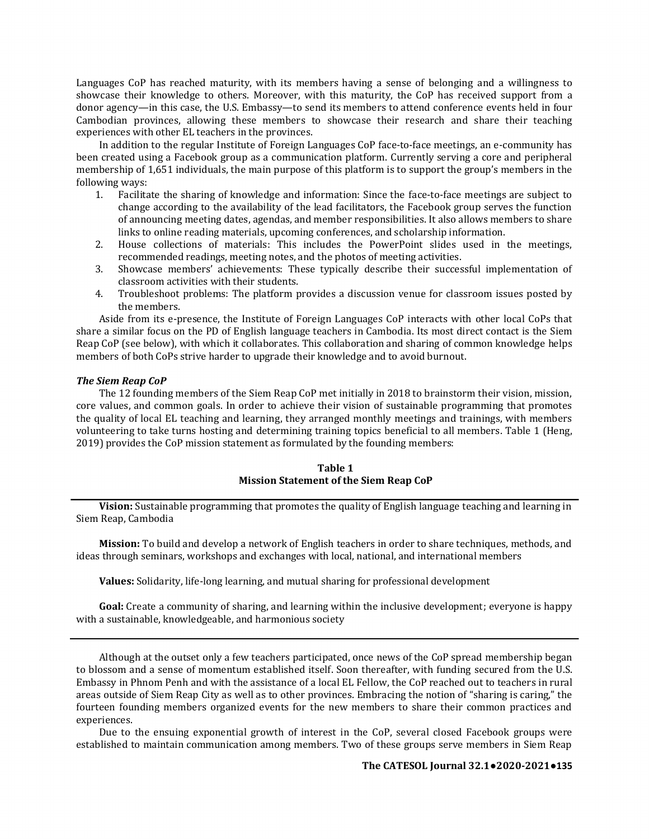Languages CoP has reached maturity, with its members having a sense of belonging and a willingness to showcase their knowledge to others. Moreover, with this maturity, the CoP has received support from a donor agency—in this case, the U.S. Embassy—to send its members to attend conference events held in four Cambodian provinces, allowing these members to showcase their research and share their teaching experiences with other EL teachers in the provinces.

In addition to the regular Institute of Foreign Languages CoP face-to-face meetings, an e-community has been created using a Facebook group as a communication platform. Currently serving a core and peripheral membership of 1,651 individuals, the main purpose of this platform is to support the group's members in the following ways:<br>1. Facilita

- 1. Facilitate the sharing of knowledge and information: Since the face-to-face meetings are subject to change according to the availability of the lead facilitators, the Facebook group serves the function of announcing meeting dates, agendas, and member responsibilities. It also allows members to share links to online reading materials, upcoming conferences, and scholarship information.
- 2. House collections of materials: This includes the PowerPoint slides used in the meetings, recommended readings, meeting notes, and the photos of meeting activities.
- 3. Showcase members' achievements: These typically describe their successful implementation of classroom activities with their students.
- 4. Troubleshoot problems: The platform provides a discussion venue for classroom issues posted by the members.

Aside from its e-presence, the Institute of Foreign Languages CoP interacts with other local CoPs that share a similar focus on the PD of English language teachers in Cambodia. Its most direct contact is the Siem Reap CoP (see below), with which it collaborates. This collaboration and sharing of common knowledge helps members of both CoPs strive harder to upgrade their knowledge and to avoid burnout.

## *The Siem Reap CoP*

The 12 founding members of the Siem Reap CoP met initially in 2018 to brainstorm their vision, mission, core values, and common goals. In order to achieve their vision of sustainable programming that promotes the quality of local EL teaching and learning, they arranged monthly meetings and trainings, with members volunteering to take turns hosting and determining training topics beneficial to all members. Table 1 (Heng, 2019) provides the CoP mission statement as formulated by the founding members:

## **Table 1 Mission Statement of the Siem Reap CoP**

**Vision:** Sustainable programming that promotes the quality of English language teaching and learning in Siem Reap, Cambodia

**Mission:** To build and develop a network of English teachers in order to share techniques, methods, and ideas through seminars, workshops and exchanges with local, national, and international members

**Values:** Solidarity, life-long learning, and mutual sharing for professional development

**Goal:** Create a community of sharing, and learning within the inclusive development; everyone is happy with a sustainable, knowledgeable, and harmonious society

Although at the outset only a few teachers participated, once news of the CoP spread membership began to blossom and a sense of momentum established itself. Soon thereafter, with funding secured from the U.S. Embassy in Phnom Penh and with the assistance of a local EL Fellow, the CoP reached out to teachers in rural areas outside of Siem Reap City as well as to other provinces. Embracing the notion of "sharing is caring," the fourteen founding members organized events for the new members to share their common practices and experiences.

Due to the ensuing exponential growth of interest in the CoP, several closed Facebook groups were established to maintain communication among members. Two of these groups serve members in Siem Reap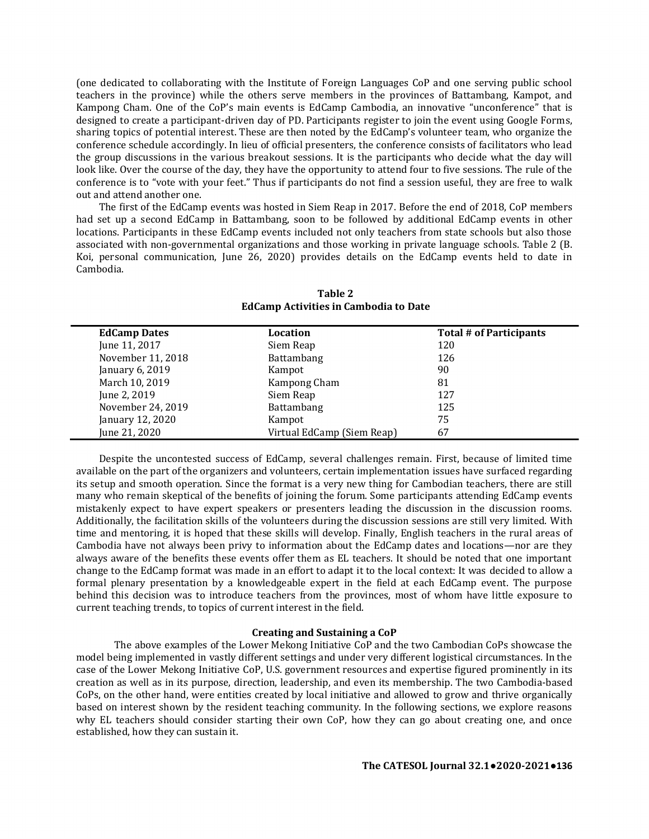(one dedicated to collaborating with the Institute of Foreign Languages CoP and one serving public school teachers in the province) while the others serve members in the provinces of Battambang, Kampot, and Kampong Cham. One of the CoP's main events is EdCamp Cambodia, an innovative "unconference" that is designed to create a participant-driven day of PD. Participants register to join the event using Google Forms, sharing topics of potential interest. These are then noted by the EdCamp's volunteer team, who organize the conference schedule accordingly. In lieu of official presenters, the conference consists of facilitators who lead the group discussions in the various breakout sessions. It is the participants who decide what the day will look like. Over the course of the day, they have the opportunity to attend four to five sessions. The rule of the conference is to "vote with your feet." Thus if participants do not find a session useful, they are free to walk out and attend another one.

The first of the EdCamp events was hosted in Siem Reap in 2017. Before the end of 2018, CoP members had set up a second EdCamp in Battambang, soon to be followed by additional EdCamp events in other locations. Participants in these EdCamp events included not only teachers from state schools but also those associated with non-governmental organizations and those working in private language schools. Table 2 (B. Koi, personal communication, June 26, 2020) provides details on the EdCamp events held to date in Cambodia.

| <b>EdCamp Dates</b> | Location                   | Total # of Participants |
|---------------------|----------------------------|-------------------------|
| June 11, 2017       | Siem Reap                  | 120                     |
| November 11, 2018   | Battambang                 | 126                     |
| January 6, 2019     | Kampot                     | 90                      |
| March 10, 2019      | Kampong Cham               | 81                      |
| June 2, 2019        | Siem Reap                  | 127                     |
| November 24, 2019   | Battambang                 | 125                     |
| January 12, 2020    | Kampot                     | 75                      |
| June 21, 2020       | Virtual EdCamp (Siem Reap) | 67                      |

**Table 2 EdCamp Activities in Cambodia to Date**

Despite the uncontested success of EdCamp, several challenges remain. First, because of limited time available on the part of the organizers and volunteers, certain implementation issues have surfaced regarding its setup and smooth operation. Since the format is a very new thing for Cambodian teachers, there are still many who remain skeptical of the benefits of joining the forum. Some participants attending EdCamp events mistakenly expect to have expert speakers or presenters leading the discussion in the discussion rooms. Additionally, the facilitation skills of the volunteers during the discussion sessions are still very limited. With time and mentoring, it is hoped that these skills will develop. Finally, English teachers in the rural areas of Cambodia have not always been privy to information about the EdCamp dates and locations—nor are they always aware of the benefits these events offer them as EL teachers. It should be noted that one important change to the EdCamp format was made in an effort to adapt it to the local context: It was decided to allow a formal plenary presentation by a knowledgeable expert in the field at each EdCamp event. The purpose behind this decision was to introduce teachers from the provinces, most of whom have little exposure to current teaching trends, to topics of current interest in the field.

## **Creating and Sustaining a CoP**

The above examples of the Lower Mekong Initiative CoP and the two Cambodian CoPs showcase the model being implemented in vastly different settings and under very different logistical circumstances. In the case of the Lower Mekong Initiative CoP, U.S. government resources and expertise figured prominently in its creation as well as in its purpose, direction, leadership, and even its membership. The two Cambodia-based CoPs, on the other hand, were entities created by local initiative and allowed to grow and thrive organically based on interest shown by the resident teaching community. In the following sections, we explore reasons why EL teachers should consider starting their own CoP, how they can go about creating one, and once established, how they can sustain it.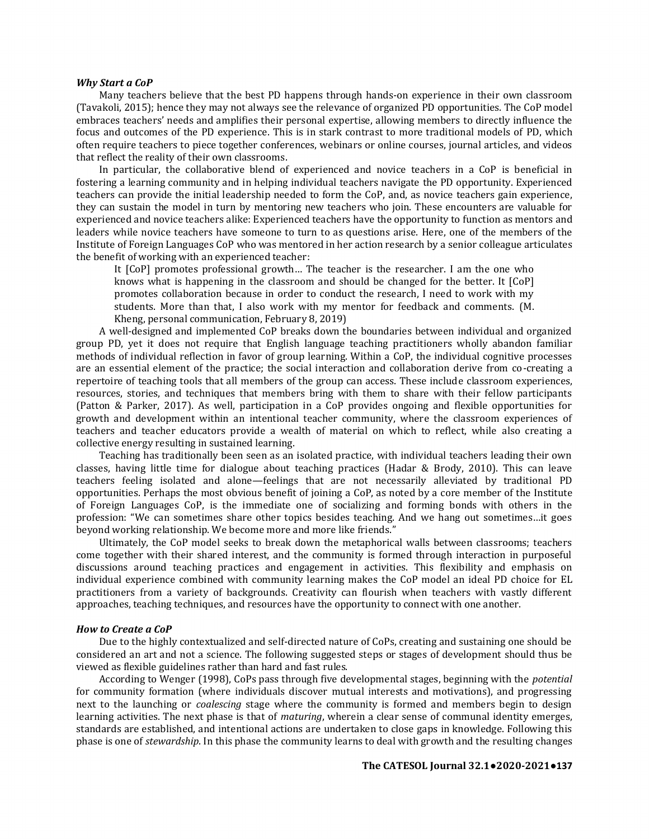## *Why Start a CoP*

Many teachers believe that the best PD happens through hands-on experience in their own classroom (Tavakoli, 2015); hence they may not always see the relevance of organized PD opportunities. The CoP model embraces teachers' needs and amplifies their personal expertise, allowing members to directly influence the focus and outcomes of the PD experience. This is in stark contrast to more traditional models of PD, which often require teachers to piece together conferences, webinars or online courses, journal articles, and videos that reflect the reality of their own classrooms.

In particular, the collaborative blend of experienced and novice teachers in a CoP is beneficial in fostering a learning community and in helping individual teachers navigate the PD opportunity. Experienced teachers can provide the initial leadership needed to form the CoP, and, as novice teachers gain experience, they can sustain the model in turn by mentoring new teachers who join. These encounters are valuable for experienced and novice teachers alike: Experienced teachers have the opportunity to function as mentors and leaders while novice teachers have someone to turn to as questions arise. Here, one of the members of the Institute of Foreign Languages CoP who was mentored in her action research by a senior colleague articulates the benefit of working with an experienced teacher:

It [CoP] promotes professional growth… The teacher is the researcher. I am the one who knows what is happening in the classroom and should be changed for the better. It [CoP] promotes collaboration because in order to conduct the research, I need to work with my students. More than that, I also work with my mentor for feedback and comments. (M. Kheng, personal communication, February 8, 2019)

A well-designed and implemented CoP breaks down the boundaries between individual and organized group PD, yet it does not require that English language teaching practitioners wholly abandon familiar methods of individual reflection in favor of group learning. Within a CoP, the individual cognitive processes are an essential element of the practice; the social interaction and collaboration derive from co-creating a repertoire of teaching tools that all members of the group can access. These include classroom experiences, resources, stories, and techniques that members bring with them to share with their fellow participants (Patton & Parker, 2017). As well, participation in a CoP provides ongoing and flexible opportunities for growth and development within an intentional teacher community, where the classroom experiences of teachers and teacher educators provide a wealth of material on which to reflect, while also creating a collective energy resulting in sustained learning.

Teaching has traditionally been seen as an isolated practice, with individual teachers leading their own classes, having little time for dialogue about teaching practices (Hadar & Brody, 2010). This can leave teachers feeling isolated and alone—feelings that are not necessarily alleviated by traditional PD opportunities. Perhaps the most obvious benefit of joining a CoP, as noted by a core member of the Institute of Foreign Languages CoP, is the immediate one of socializing and forming bonds with others in the profession: "We can sometimes share other topics besides teaching. And we hang out sometimes…it goes beyond working relationship. We become more and more like friends."

Ultimately, the CoP model seeks to break down the metaphorical walls between classrooms; teachers come together with their shared interest, and the community is formed through interaction in purposeful discussions around teaching practices and engagement in activities. This flexibility and emphasis on individual experience combined with community learning makes the CoP model an ideal PD choice for EL practitioners from a variety of backgrounds. Creativity can flourish when teachers with vastly different approaches, teaching techniques, and resources have the opportunity to connect with one another.

## *How to Create a CoP*

Due to the highly contextualized and self-directed nature of CoPs, creating and sustaining one should be considered an art and not a science. The following suggested steps or stages of development should thus be viewed as flexible guidelines rather than hard and fast rules.

According to Wenger (1998), CoPs pass through five developmental stages, beginning with the *potential* for community formation (where individuals discover mutual interests and motivations), and progressing next to the launching or *coalescing* stage where the community is formed and members begin to design learning activities. The next phase is that of *maturing*, wherein a clear sense of communal identity emerges, standards are established, and intentional actions are undertaken to close gaps in knowledge. Following this phase is one of *stewardship*. In this phase the community learns to deal with growth and the resulting changes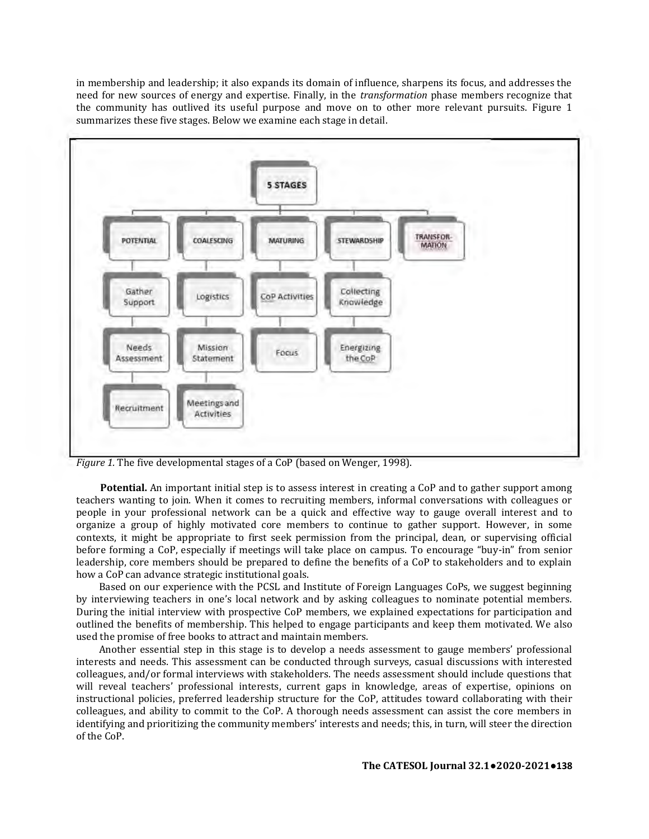in membership and leadership; it also expands its domain of influence, sharpens its focus, and addresses the need for new sources of energy and expertise. Finally, in the *transformation* phase members recognize that the community has outlived its useful purpose and move on to other more relevant pursuits. Figure 1 summarizes these five stages. Below we examine each stage in detail.



*Figure 1.* The five developmental stages of a CoP (based on Wenger, 1998).

**Potential.** An important initial step is to assess interest in creating a CoP and to gather support among teachers wanting to join. When it comes to recruiting members, informal conversations with colleagues or people in your professional network can be a quick and effective way to gauge overall interest and to organize a group of highly motivated core members to continue to gather support. However, in some contexts, it might be appropriate to first seek permission from the principal, dean, or supervising official before forming a CoP, especially if meetings will take place on campus. To encourage "buy-in" from senior leadership, core members should be prepared to define the benefits of a CoP to stakeholders and to explain how a CoP can advance strategic institutional goals.

Based on our experience with the PCSL and Institute of Foreign Languages CoPs, we suggest beginning by interviewing teachers in one's local network and by asking colleagues to nominate potential members. During the initial interview with prospective CoP members, we explained expectations for participation and outlined the benefits of membership. This helped to engage participants and keep them motivated. We also used the promise of free books to attract and maintain members.

Another essential step in this stage is to develop a needs assessment to gauge members' professional interests and needs. This assessment can be conducted through surveys, casual discussions with interested colleagues, and/or formal interviews with stakeholders. The needs assessment should include questions that will reveal teachers' professional interests, current gaps in knowledge, areas of expertise, opinions on instructional policies, preferred leadership structure for the CoP, attitudes toward collaborating with their colleagues, and ability to commit to the CoP. A thorough needs assessment can assist the core members in identifying and prioritizing the community members' interests and needs; this, in turn, will steer the direction of the CoP.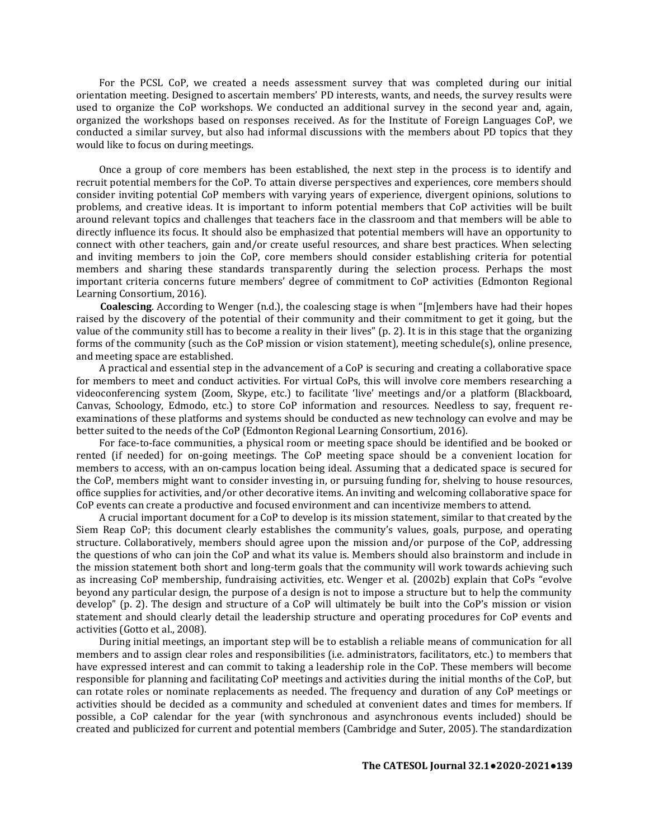For the PCSL CoP, we created a needs assessment survey that was completed during our initial orientation meeting. Designed to ascertain members' PD interests, wants, and needs, the survey results were used to organize the CoP workshops. We conducted an additional survey in the second year and, again, organized the workshops based on responses received. As for the Institute of Foreign Languages CoP, we conducted a similar survey, but also had informal discussions with the members about PD topics that they would like to focus on during meetings.

Once a group of core members has been established, the next step in the process is to identify and recruit potential members for the CoP. To attain diverse perspectives and experiences, core members should consider inviting potential CoP members with varying years of experience, divergent opinions, solutions to problems, and creative ideas. It is important to inform potential members that CoP activities will be built around relevant topics and challenges that teachers face in the classroom and that members will be able to directly influence its focus. It should also be emphasized that potential members will have an opportunity to connect with other teachers, gain and/or create useful resources, and share best practices. When selecting and inviting members to join the CoP, core members should consider establishing criteria for potential members and sharing these standards transparently during the selection process. Perhaps the most important criteria concerns future members' degree of commitment to CoP activities (Edmonton Regional Learning Consortium, 2016).

**Coalescing**. According to Wenger (n.d.), the coalescing stage is when "[m]embers have had their hopes raised by the discovery of the potential of their community and their commitment to get it going, but the value of the community still has to become a reality in their lives" (p. 2). It is in this stage that the organizing forms of the community (such as the CoP mission or vision statement), meeting schedule(s), online presence, and meeting space are established.

A practical and essential step in the advancement of a CoP is securing and creating a collaborative space for members to meet and conduct activities. For virtual CoPs, this will involve core members researching a videoconferencing system (Zoom, Skype, etc.) to facilitate 'live' meetings and/or a platform (Blackboard, Canvas, Schoology, Edmodo, etc.) to store CoP information and resources. Needless to say, frequent reexaminations of these platforms and systems should be conducted as new technology can evolve and may be better suited to the needs of the CoP (Edmonton Regional Learning Consortium, 2016).

For face-to-face communities, a physical room or meeting space should be identified and be booked or rented (if needed) for on-going meetings. The CoP meeting space should be a convenient location for members to access, with an on-campus location being ideal. Assuming that a dedicated space is secured for the CoP, members might want to consider investing in, or pursuing funding for, shelving to house resources, office supplies for activities, and/or other decorative items. An inviting and welcoming collaborative space for CoP events can create a productive and focused environment and can incentivize members to attend.

A crucial important document for a CoP to develop is its mission statement, similar to that created by the Siem Reap CoP; this document clearly establishes the community's values, goals, purpose, and operating structure. Collaboratively, members should agree upon the mission and/or purpose of the CoP, addressing the questions of who can join the CoP and what its value is. Members should also brainstorm and include in the mission statement both short and long-term goals that the community will work towards achieving such as increasing CoP membership, fundraising activities, etc. Wenger et al. (2002b) explain that CoPs "evolve beyond any particular design, the purpose of a design is not to impose a structure but to help the community develop" (p. 2). The design and structure of a CoP will ultimately be built into the CoP's mission or vision statement and should clearly detail the leadership structure and operating procedures for CoP events and activities (Gotto et al., 2008).

During initial meetings, an important step will be to establish a reliable means of communication for all members and to assign clear roles and responsibilities (i.e. administrators, facilitators, etc.) to members that have expressed interest and can commit to taking a leadership role in the CoP. These members will become responsible for planning and facilitating CoP meetings and activities during the initial months of the CoP, but can rotate roles or nominate replacements as needed. The frequency and duration of any CoP meetings or activities should be decided as a community and scheduled at convenient dates and times for members. If possible, a CoP calendar for the year (with synchronous and asynchronous events included) should be created and publicized for current and potential members (Cambridge and Suter, 2005). The standardization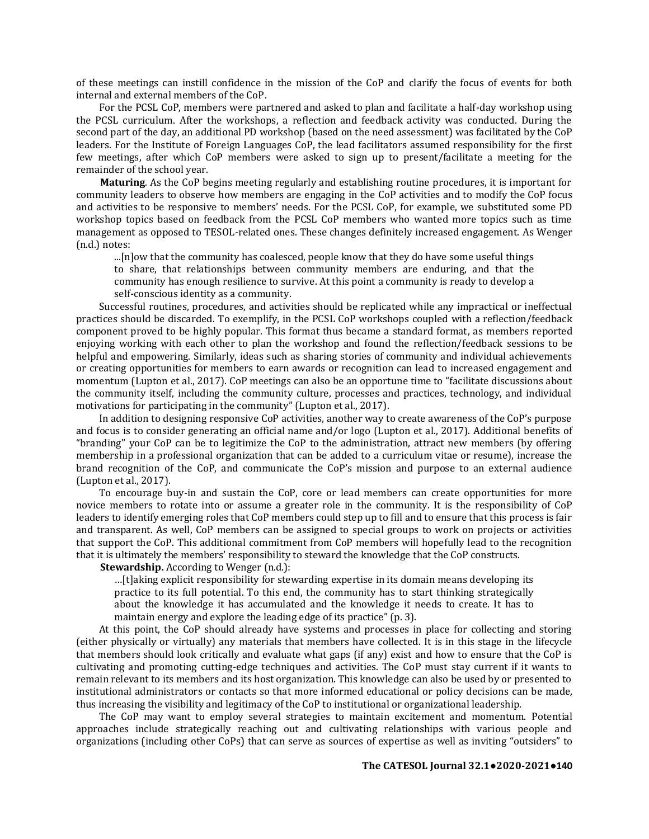of these meetings can instill confidence in the mission of the CoP and clarify the focus of events for both internal and external members of the CoP.

For the PCSL CoP, members were partnered and asked to plan and facilitate a half-day workshop using the PCSL curriculum. After the workshops, a reflection and feedback activity was conducted. During the second part of the day, an additional PD workshop (based on the need assessment) was facilitated by the CoP leaders. For the Institute of Foreign Languages CoP, the lead facilitators assumed responsibility for the first few meetings, after which CoP members were asked to sign up to present/facilitate a meeting for the remainder of the school year.

**Maturing**. As the CoP begins meeting regularly and establishing routine procedures, it is important for community leaders to observe how members are engaging in the CoP activities and to modify the CoP focus and activities to be responsive to members' needs. For the PCSL CoP, for example, we substituted some PD workshop topics based on feedback from the PCSL CoP members who wanted more topics such as time management as opposed to TESOL-related ones. These changes definitely increased engagement. As Wenger (n.d.) notes:

...[n]ow that the community has coalesced, people know that they do have some useful things to share, that relationships between community members are enduring, and that the community has enough resilience to survive. At this point a community is ready to develop a self-conscious identity as a community.

Successful routines, procedures, and activities should be replicated while any impractical or ineffectual practices should be discarded. To exemplify, in the PCSL CoP workshops coupled with a reflection/feedback component proved to be highly popular. This format thus became a standard format, as members reported enjoying working with each other to plan the workshop and found the reflection/feedback sessions to be helpful and empowering. Similarly, ideas such as sharing stories of community and individual achievements or creating opportunities for members to earn awards or recognition can lead to increased engagement and momentum (Lupton et al., 2017). CoP meetings can also be an opportune time to "facilitate discussions about the community itself, including the community culture, processes and practices, technology, and individual motivations for participating in the community" (Lupton et al., 2017).

In addition to designing responsive CoP activities, another way to create awareness of the CoP's purpose and focus is to consider generating an official name and/or logo (Lupton et al., 2017). Additional benefits of "branding" your CoP can be to legitimize the CoP to the administration, attract new members (by offering membership in a professional organization that can be added to a curriculum vitae or resume), increase the brand recognition of the CoP, and communicate the CoP's mission and purpose to an external audience (Lupton et al., 2017).

To encourage buy-in and sustain the CoP, core or lead members can create opportunities for more novice members to rotate into or assume a greater role in the community. It is the responsibility of CoP leaders to identify emerging roles that CoP members could step up to fill and to ensure that this process is fair and transparent. As well, CoP members can be assigned to special groups to work on projects or activities that support the CoP. This additional commitment from CoP members will hopefully lead to the recognition that it is ultimately the members' responsibility to steward the knowledge that the CoP constructs.

**Stewardship.** According to Wenger (n.d.):

…[t]aking explicit responsibility for stewarding expertise in its domain means developing its practice to its full potential. To this end, the community has to start thinking strategically about the knowledge it has accumulated and the knowledge it needs to create. It has to maintain energy and explore the leading edge of its practice" (p. 3).

At this point, the CoP should already have systems and processes in place for collecting and storing (either physically or virtually) any materials that members have collected. It is in this stage in the lifecycle that members should look critically and evaluate what gaps (if any) exist and how to ensure that the CoP is cultivating and promoting cutting-edge techniques and activities. The CoP must stay current if it wants to remain relevant to its members and its host organization. This knowledge can also be used by or presented to institutional administrators or contacts so that more informed educational or policy decisions can be made, thus increasing the visibility and legitimacy of the CoP to institutional or organizational leadership.

The CoP may want to employ several strategies to maintain excitement and momentum. Potential approaches include strategically reaching out and cultivating relationships with various people and organizations (including other CoPs) that can serve as sources of expertise as well as inviting "outsiders" to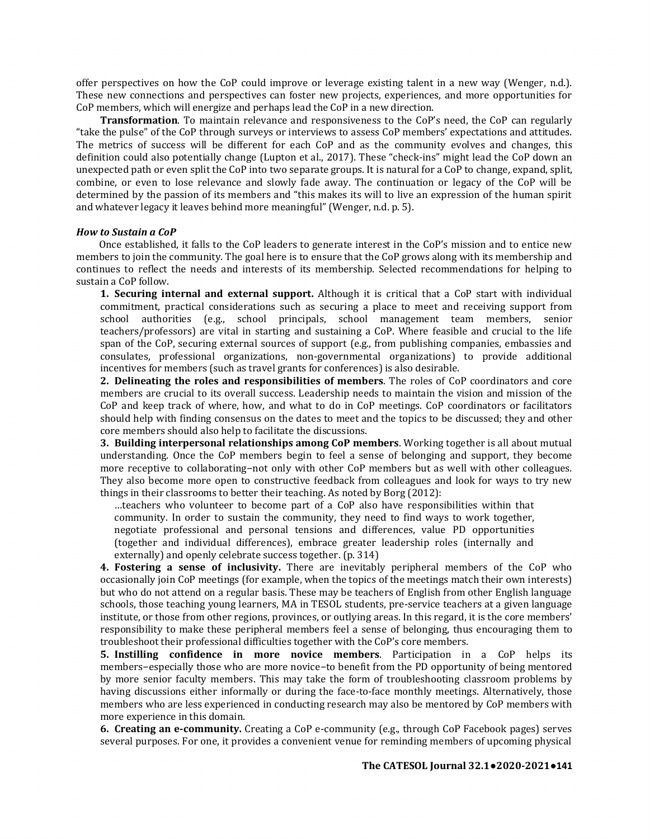offer perspectives on how the CoP could improve or leverage existing talent in a new way (Wenger, n.d.). These new connections and perspectives can foster new projects, experiences, and more opportunities for CoP members, which will energize and perhaps lead the CoP in a new direction.

**Transformation**. To maintain relevance and responsiveness to the CoP's need, the CoP can regularly "take the pulse" of the CoP through surveys or interviews to assess CoP members' expectations and attitudes. The metrics of success will be different for each CoP and as the community evolves and changes, this definition could also potentially change (Lupton et al., 2017). These "check-ins" might lead the CoP down an unexpected path or even split the CoP into two separate groups. It is natural for a CoP to change, expand, split, combine, or even to lose relevance and slowly fade away. The continuation or legacy of the CoP will be determined by the passion of its members and "this makes its will to live an expression of the human spirit and whatever legacy it leaves behind more meaningful" (Wenger, n.d. p. 5).

#### *How to Sustain a CoP*

Once established, it falls to the CoP leaders to generate interest in the CoP's mission and to entice new members to join the community. The goal here is to ensure that the CoP grows along with its membership and continues to reflect the needs and interests of its membership. Selected recommendations for helping to sustain a CoP follow.

**1. Securing internal and external support.** Although it is critical that a CoP start with individual commitment, practical considerations such as securing a place to meet and receiving support from school authorities (e.g., school principals, school management team members, senior teachers/professors) are vital in starting and sustaining a CoP. Where feasible and crucial to the life span of the CoP, securing external sources of support (e.g., from publishing companies, embassies and consulates, professional organizations, non-governmental organizations) to provide additional incentives for members (such as travel grants for conferences) is also desirable.

**2. Delineating the roles and responsibilities of members**. The roles of CoP coordinators and core members are crucial to its overall success. Leadership needs to maintain the vision and mission of the CoP and keep track of where, how, and what to do in CoP meetings. CoP coordinators or facilitators should help with finding consensus on the dates to meet and the topics to be discussed; they and other core members should also help to facilitate the discussions.

**3. Building interpersonal relationships among CoP members**. Working together is all about mutual understanding. Once the CoP members begin to feel a sense of belonging and support, they become more receptive to collaborating−not only with other CoP members but as well with other colleagues. They also become more open to constructive feedback from colleagues and look for ways to try new things in their classrooms to better their teaching. As noted by Borg (2012):

…teachers who volunteer to become part of a CoP also have responsibilities within that community. In order to sustain the community, they need to find ways to work together, negotiate professional and personal tensions and differences, value PD opportunities (together and individual differences), embrace greater leadership roles (internally and externally) and openly celebrate success together. (p. 314)

**4. Fostering a sense of inclusivity.** There are inevitably peripheral members of the CoP who occasionally join CoP meetings (for example, when the topics of the meetings match their own interests) but who do not attend on a regular basis. These may be teachers of English from other English language schools, those teaching young learners, MA in TESOL students, pre-service teachers at a given language institute, or those from other regions, provinces, or outlying areas. In this regard, it is the core members' responsibility to make these peripheral members feel a sense of belonging, thus encouraging them to troubleshoot their professional difficulties together with the CoP's core members.

**5. Instilling confidence in more novice members**. Participation in a CoP helps its members−especially those who are more novice−to benefit from the PD opportunity of being mentored by more senior faculty members. This may take the form of troubleshooting classroom problems by having discussions either informally or during the face-to-face monthly meetings. Alternatively, those members who are less experienced in conducting research may also be mentored by CoP members with more experience in this domain.

**6. Creating an e-community.** Creating a CoP e-community (e.g., through CoP Facebook pages) serves several purposes. For one, it provides a convenient venue for reminding members of upcoming physical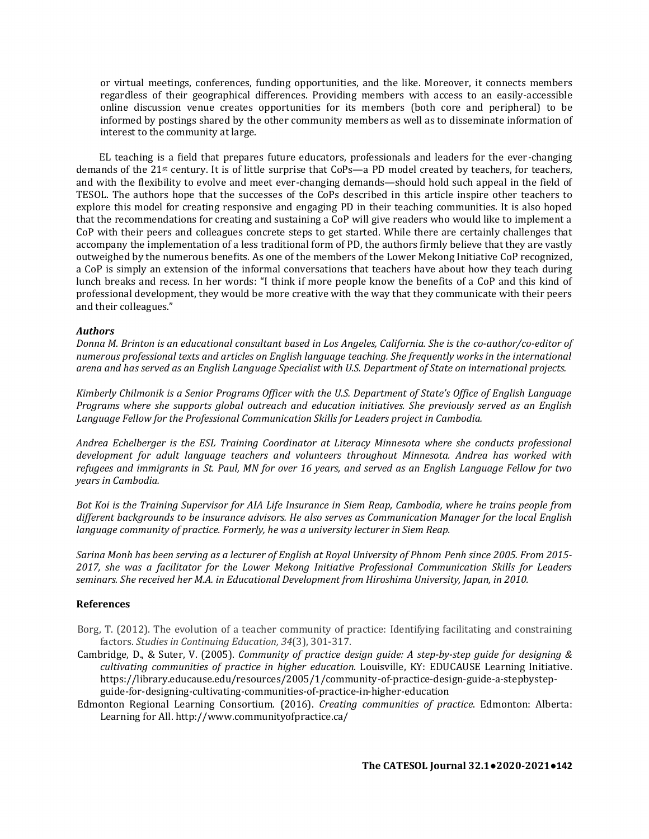or virtual meetings, conferences, funding opportunities, and the like. Moreover, it connects members regardless of their geographical differences. Providing members with access to an easily-accessible online discussion venue creates opportunities for its members (both core and peripheral) to be informed by postings shared by the other community members as well as to disseminate information of interest to the community at large.

EL teaching is a field that prepares future educators, professionals and leaders for the ever-changing demands of the 21<sup>st</sup> century. It is of little surprise that CoPs—a PD model created by teachers, for teachers, and with the flexibility to evolve and meet ever-changing demands—should hold such appeal in the field of TESOL. The authors hope that the successes of the CoPs described in this article inspire other teachers to explore this model for creating responsive and engaging PD in their teaching communities. It is also hoped that the recommendations for creating and sustaining a CoP will give readers who would like to implement a CoP with their peers and colleagues concrete steps to get started. While there are certainly challenges that accompany the implementation of a less traditional form of PD, the authors firmly believe that they are vastly outweighed by the numerous benefits. As one of the members of the Lower Mekong Initiative CoP recognized, a CoP is simply an extension of the informal conversations that teachers have about how they teach during lunch breaks and recess. In her words: "I think if more people know the benefits of a CoP and this kind of professional development, they would be more creative with the way that they communicate with their peers and their colleagues."

## *Authors*

*Donna M. Brinton is an educational consultant based in Los Angeles, California. She is the co-author/co-editor of numerous professional texts and articles on English language teaching. She frequently works in the international arena and has served as an English Language Specialist with U.S. Department of State on international projects.*

*Kimberly Chilmonik is a Senior Programs Officer with the U.S. Department of State's Office of English Language Programs where she supports global outreach and education initiatives. She previously served as an English Language Fellow for the Professional Communication Skills for Leaders project in Cambodia.*

*Andrea Echelberger is the ESL Training Coordinator at Literacy Minnesota where she conducts professional development for adult language teachers and volunteers throughout Minnesota. Andrea has worked with refugees and immigrants in St. Paul, MN for over 16 years, and served as an English Language Fellow for two years in Cambodia.*

*Bot Koi is the Training Supervisor for AIA Life Insurance in Siem Reap, Cambodia, where he trains people from different backgrounds to be insurance advisors. He also serves as Communication Manager for the local English language community of practice. Formerly, he was a university lecturer in Siem Reap.*

*Sarina Monh has been serving as a lecturer of English at Royal University of Phnom Penh since 2005. From 2015- 2017, she was a facilitator for the Lower Mekong Initiative Professional Communication Skills for Leaders seminars. She received her M.A. in Educational Development from Hiroshima University, Japan, in 2010.*

#### **References**

- Borg, T. (2012). The evolution of a teacher community of practice: Identifying facilitating and constraining factors. *Studies in Continuing Education, 34*(3), 301-317.
- Cambridge, D., & Suter, V. (2005). *Community of practice design guide: A step-by-step guide for designing & cultivating communities of practice in higher education.* Louisville, KY: EDUCAUSE Learning Initiative. https://library.educause.edu/resources/2005/1/community-of-practice-design-guide-a-stepbystepguide-for-designing-cultivating-communities-of-practice-in-higher-education
- Edmonton Regional Learning Consortium. (2016). *Creating communities of practice*. Edmonton: Alberta: Learning for All. http://www.communityofpractice.ca/